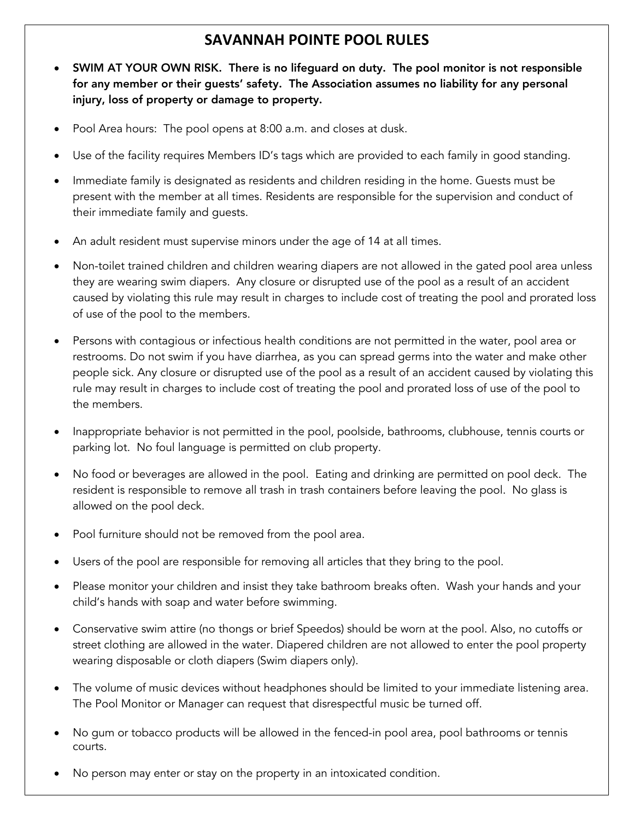## **SAVANNAH POINTE POOL RULES**

- SWIM AT YOUR OWN RISK. There is no lifeguard on duty. The pool monitor is not responsible for any member or their guests' safety. The Association assumes no liability for any personal injury, loss of property or damage to property.
- Pool Area hours: The pool opens at 8:00 a.m. and closes at dusk.
- Use of the facility requires Members ID's tags which are provided to each family in good standing.
- Immediate family is designated as residents and children residing in the home. Guests must be present with the member at all times. Residents are responsible for the supervision and conduct of their immediate family and guests.
- An adult resident must supervise minors under the age of 14 at all times.
- Non-toilet trained children and children wearing diapers are not allowed in the gated pool area unless they are wearing swim diapers. Any closure or disrupted use of the pool as a result of an accident caused by violating this rule may result in charges to include cost of treating the pool and prorated loss of use of the pool to the members.
- Persons with contagious or infectious health conditions are not permitted in the water, pool area or restrooms. Do not swim if you have diarrhea, as you can spread germs into the water and make other people sick. Any closure or disrupted use of the pool as a result of an accident caused by violating this rule may result in charges to include cost of treating the pool and prorated loss of use of the pool to the members.
- Inappropriate behavior is not permitted in the pool, poolside, bathrooms, clubhouse, tennis courts or parking lot. No foul language is permitted on club property.
- No food or beverages are allowed in the pool. Eating and drinking are permitted on pool deck. The resident is responsible to remove all trash in trash containers before leaving the pool. No glass is allowed on the pool deck.
- Pool furniture should not be removed from the pool area.
- Users of the pool are responsible for removing all articles that they bring to the pool.
- Please monitor your children and insist they take bathroom breaks often. Wash your hands and your child's hands with soap and water before swimming.
- Conservative swim attire (no thongs or brief Speedos) should be worn at the pool. Also, no cutoffs or street clothing are allowed in the water. Diapered children are not allowed to enter the pool property wearing disposable or cloth diapers (Swim diapers only).
- The volume of music devices without headphones should be limited to your immediate listening area. The Pool Monitor or Manager can request that disrespectful music be turned off.
- No gum or tobacco products will be allowed in the fenced-in pool area, pool bathrooms or tennis courts.
- No person may enter or stay on the property in an intoxicated condition.